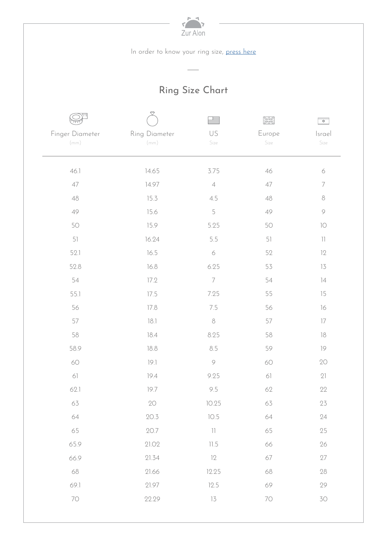| Zur Alon |  |
|----------|--|
|          |  |

In order to know your ring size, press here

## Ring Size Chart

|                    |                    | ⋿                                       | RK     | $\overline{\phi}$      |
|--------------------|--------------------|-----------------------------------------|--------|------------------------|
| Finger Diameter    | Ring Diameter      | US                                      | Europe | Israel                 |
| $\left( mm\right)$ | $\left( mm\right)$ | Size                                    | Size   | Size                   |
|                    |                    |                                         |        |                        |
| 46.1               | 14.65              | 3.75                                    | 46     | $\acute{\rm{o}}$       |
| $47\,$             | 14.97              | $\ensuremath{\mathnormal{\mathcal{A}}}$ | 47     | $\overline{ }$         |
| $48\,$             | 15.3               | 4.5                                     | 48     | $\,8\,$                |
| 49                 | 15.6               | 5                                       | 49     | $\mathcal{G}$          |
| 50                 | 15.9               | 5.25                                    | 50     | $\overline{\text{10}}$ |
| 51                 | 16.24              | 5.5                                     | 51     | $\left  \ \right $     |
| 52.1               | 16.5               | $\acute{\rm{o}}$                        | 52     | 12                     |
| 52.8               | 16.8               | 6.25                                    | 53     | 13                     |
| 54                 | 17.2               | $\overline{7}$                          | 54     | $\overline{14}$        |
| 55.1               | 17.5               | 7.25                                    | 55     | 15                     |
| 56                 | 17.8               | 7.5                                     | 56     | $16\,$                 |
| 57                 | $18.1\,$           | $\,8\,$                                 | 57     | $17\,$                 |
| 58                 | $18.4\,$           | 8.25                                    | 58     | 18                     |
| 58.9               | 18.8               | 8.5                                     | 59     | 19                     |
| 60                 | 19.1               | $\circledcirc$                          | 60     | 20                     |
| 61                 | 19.4               | 9.25                                    | 61     | 21                     |
| 62.1               | 19.7               | 9.5                                     | 62     | 22                     |
| 63                 | $2{\rm O}$         | 10.25                                   | 63     | $23\,$                 |
| 64                 | 20.3               | 10.5                                    | 64     | 24                     |
| 65                 | 20.7               | $\left\lceil \cdot \right\rceil$        | 65     | 25                     |
| 65.9               | 21.02              | 11.5                                    | 66     | 26                     |
| 66.9               | 21.34              | 12                                      | 67     | $27\,$                 |
| 68                 | 21.66              | 12.25                                   | 68     | 28                     |
| 69.1               | 21.97              | 12.5                                    | 69     | 29                     |
| $70\,$             | 22.29              | 13                                      | $70\,$ | 30                     |
|                    |                    |                                         |        |                        |